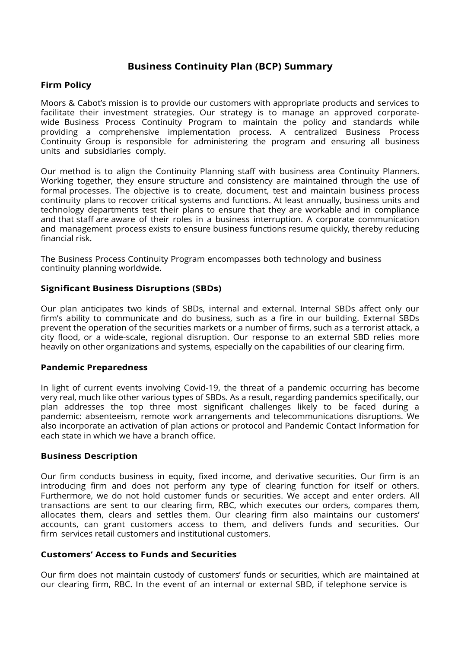# **Business Continuity Plan (BCP) Summary**

# **Firm Policy**

Moors & Cabot's mission is to provide our customers with appropriate products and services to facilitate their investment strategies. Our strategy is to manage an approved corporatewide Business Process Continuity Program to maintain the policy and standards while providing a comprehensive implementation process. A centralized Business Process Continuity Group is responsible for administering the program and ensuring all business units and subsidiaries comply.

Our method is to align the Continuity Planning staff with business area Continuity Planners. Working together, they ensure structure and consistency are maintained through the use of formal processes. The objective is to create, document, test and maintain business process continuity plans to recover critical systems and functions. At least annually, business units and technology departments test their plans to ensure that they are workable and in compliance and that staff are aware of their roles in a business interruption. A corporate communication and management process exists to ensure business functions resume quickly, thereby reducing financial risk.

The Business Process Continuity Program encompasses both technology and business continuity planning worldwide.

## **Significant Business Disruptions (SBDs)**

Our plan anticipates two kinds of SBDs, internal and external. Internal SBDs affect only our firm's ability to communicate and do business, such as a fire in our building. External SBDs prevent the operation of the securities markets or a number of firms, such as a terrorist attack, a city flood, or a wide-scale, regional disruption. Our response to an external SBD relies more heavily on other organizations and systems, especially on the capabilities of our clearing firm.

### **Pandemic Preparedness**

In light of current events involving Covid-19, the threat of a pandemic occurring has become very real, much like other various types of SBDs. As a result, regarding pandemics specifically, our plan addresses the top three most significant challenges likely to be faced during a pandemic: absenteeism, remote work arrangements and telecommunications disruptions. We also incorporate an activation of plan actions or protocol and Pandemic Contact Information for each state in which we have a branch office.

### **Business Description**

Our firm conducts business in equity, fixed income, and derivative securities. Our firm is an introducing firm and does not perform any type of clearing function for itself or others. Furthermore, we do not hold customer funds or securities. We accept and enter orders. All transactions are sent to our clearing firm, RBC, which executes our orders, compares them, allocates them, clears and settles them. Our clearing firm also maintains our customers' accounts, can grant customers access to them, and delivers funds and securities. Our firm services retail customers and institutional customers.

## **Customers' Access to Funds and Securities**

Our firm does not maintain custody of customers' funds or securities, which are maintained at our clearing firm, RBC. In the event of an internal or external SBD, if telephone service is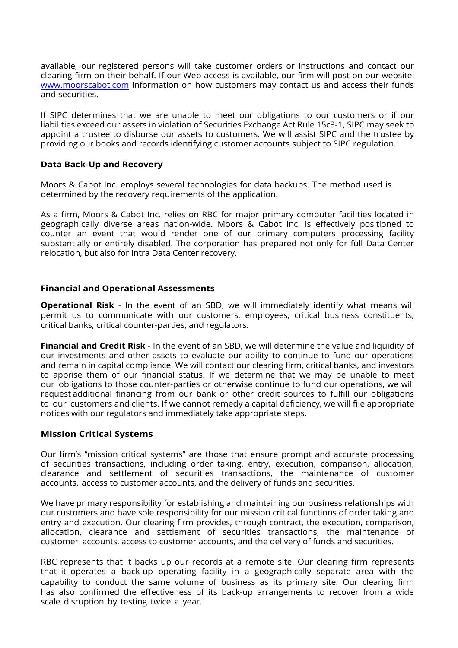available, our registered persons will take customer orders or instructions and contact our clearing firm on their behalf. If our Web access is available, our firm will post on our website: [www.moorscabot.com](http://www.moorscabot.com/) information on how customers may contact us and access their funds and securities.

If SIPC determines that we are unable to meet our obligations to our customers or if our liabilities exceed our assets in violation of Securities Exchange Act Rule 15c3-1, SIPC may seek to appoint a trustee to disburse our assets to customers. We will assist SIPC and the trustee by providing our books and records identifying customer accounts subject to SIPC regulation.

## **Data Back-Up and Recovery**

Moors & Cabot Inc. employs several technologies for data backups. The method used is determined by the recovery requirements of the application.

As a firm, Moors & Cabot Inc. relies on RBC for major primary computer facilities located in geographically diverse areas nation-wide. Moors & Cabot Inc. is effectively positioned to counter an event that would render one of our primary computers processing facility substantially or entirely disabled. The corporation has prepared not only for full Data Center relocation, but also for Intra Data Center recovery.

## **Financial and Operational Assessments**

**Operational Risk** - In the event of an SBD, we will immediately identify what means will permit us to communicate with our customers, employees, critical business constituents, critical banks, critical counter-parties, and regulators.

**Financial and Credit Risk** - In the event of an SBD, we will determine the value and liquidity of our investments and other assets to evaluate our ability to continue to fund our operations and remain in capital compliance. We will contact our clearing firm, critical banks, and investors to apprise them of our financial status. If we determine that we may be unable to meet our obligations to those counter-parties or otherwise continue to fund our operations, we will request additional financing from our bank or other credit sources to fulfill our obligations to our customers and clients. If we cannot remedy a capital deficiency, we will file appropriate notices with our regulators and immediately take appropriate steps.

### **Mission Critical Systems**

Our firm's "mission critical systems" are those that ensure prompt and accurate processing of securities transactions, including order taking, entry, execution, comparison, allocation, clearance and settlement of securities transactions, the maintenance of customer accounts, access to customer accounts, and the delivery of funds and securities.

We have primary responsibility for establishing and maintaining our business relationships with our customers and have sole responsibility for our mission critical functions of order taking and entry and execution. Our clearing firm provides, through contract, the execution, comparison, allocation, clearance and settlement of securities transactions, the maintenance of customer accounts, access to customer accounts, and the delivery of funds and securities.

RBC represents that it backs up our records at a remote site. Our clearing firm represents that it operates a back-up operating facility in a geographically separate area with the capability to conduct the same volume of business as its primary site. Our clearing firm has also confirmed the effectiveness of its back-up arrangements to recover from a wide scale disruption by testing twice a year.